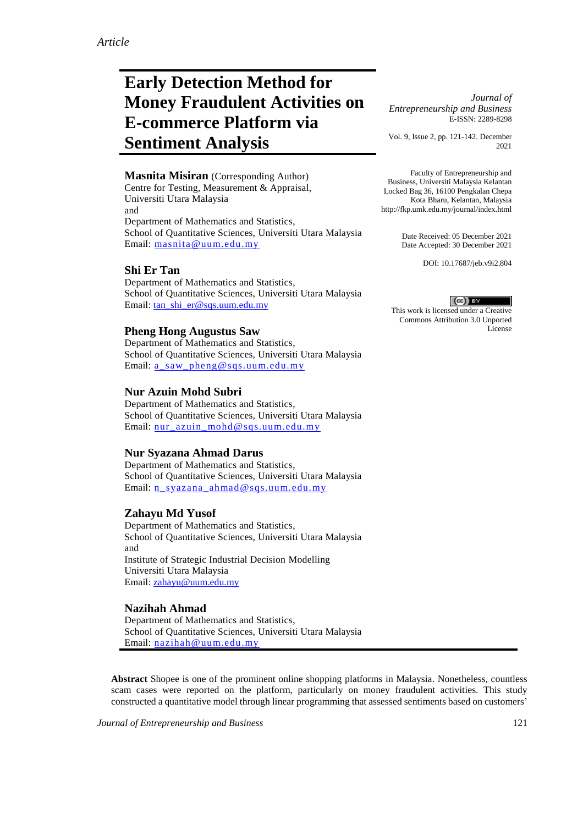# **Early Detection Method for Money Fraudulent Activities on E-commerce Platform via Sentiment Analysis**

**Masnita Misiran** (Corresponding Author) Centre for Testing, Measurement & Appraisal, Universiti Utara Malaysia and Department of Mathematics and Statistics, School of Quantitative Sciences, Universiti Utara Malaysia Email: [masnita@uum.edu.my](mailto:masnita@uum.edu.my)

## **Shi Er Tan**

Department of Mathematics and Statistics, School of Quantitative Sciences, Universiti Utara Malaysia Email[: tan\\_shi\\_er@sqs.uum.edu.my](mailto:tan_shi_er@sqs.uum.edu.my)

## **Pheng Hong Augustus Saw**

Department of Mathematics and Statistics, School of Quantitative Sciences, Universiti Utara Malaysia Email: [a\\_saw\\_pheng@sqs.uum.edu.my](mailto:a_saw_pheng@sqs.uum.edu.my)

## **Nur Azuin Mohd Subri**

Department of Mathematics and Statistics, School of Quantitative Sciences, Universiti Utara Malaysia Email: [nur\\_azuin\\_mohd@sqs.uum.edu.my](mailto:nur_azuin_mohd@sqs.uum.edu.my)

## **Nur Syazana Ahmad Darus**

Department of Mathematics and Statistics, School of Quantitative Sciences, Universiti Utara Malaysia Email: [n\\_syazana\\_ahmad@sqs.uum.edu.my](mailto:n_syazana_ahmad@sqs.uum.edu.my)

## **Zahayu Md Yusof**

Department of Mathematics and Statistics, School of Quantitative Sciences, Universiti Utara Malaysia and Institute of Strategic Industrial Decision Modelling Universiti Utara Malaysia Email: [zahayu@uum.edu.my](mailto:zahayu@uum.edu.my)

## **Nazihah Ahmad**

Department of Mathematics and Statistics, School of Quantitative Sciences, Universiti Utara Malaysia Email: [nazihah@uum.edu.my](mailto:nazihah@uum.edu.my)

**Abstract** Shopee is one of the prominent online shopping platforms in Malaysia. Nonetheless, countless scam cases were reported on the platform, particularly on money fraudulent activities. This study constructed a quantitative model through linear programming that assessed sentiments based on customers'

*Journal of Entrepreneurship and Business* 121

*Journal of Entrepreneurship and Business* E-ISSN: 2289-8298

Vol. 9, Issue 2, pp. 121-142. December 2021

Faculty of Entrepreneurship and Business, Universiti Malaysia Kelantan Locked Bag 36, 16100 Pengkalan Chepa Kota Bharu, Kelantan, Malaysia http://fkp.umk.edu.my/journal/index.html

> Date Received: 05 December 2021 Date Accepted: 30 December 2021

> > DOI: 10.17687/jeb.v9i2.804

#### $(cc)$  BY

This work is licensed under a Creative Commons Attribution 3.0 Unported License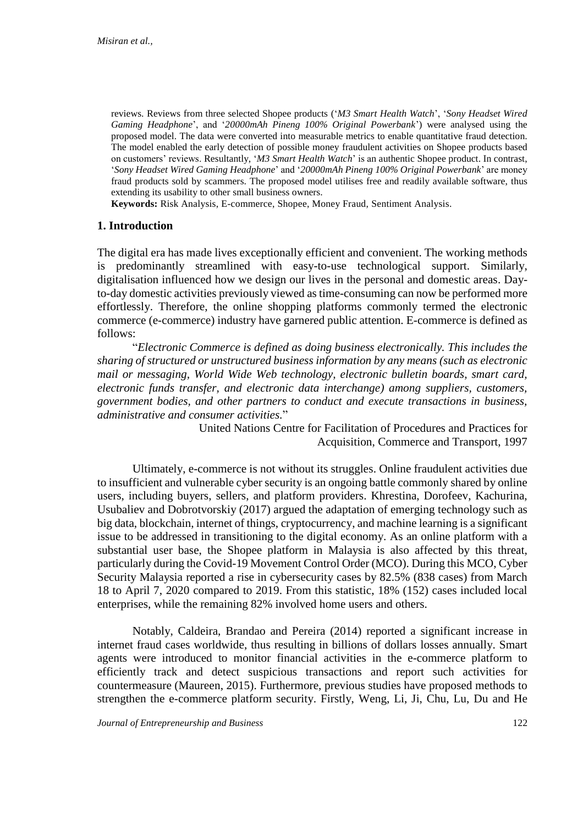reviews. Reviews from three selected Shopee products ('*M3 Smart Health Watch*', '*Sony Headset Wired Gaming Headphone*', and '*20000mAh Pineng 100% Original Powerbank*') were analysed using the proposed model. The data were converted into measurable metrics to enable quantitative fraud detection. The model enabled the early detection of possible money fraudulent activities on Shopee products based on customers' reviews. Resultantly, '*M3 Smart Health Watch*' is an authentic Shopee product. In contrast, '*Sony Headset Wired Gaming Headphone*' and '*20000mAh Pineng 100% Original Powerbank*' are money fraud products sold by scammers. The proposed model utilises free and readily available software, thus extending its usability to other small business owners.

**Keywords:** Risk Analysis, E-commerce, Shopee, Money Fraud, Sentiment Analysis.

# **1. Introduction**

The digital era has made lives exceptionally efficient and convenient. The working methods is predominantly streamlined with easy-to-use technological support. Similarly, digitalisation influenced how we design our lives in the personal and domestic areas. Dayto-day domestic activities previously viewed as time-consuming can now be performed more effortlessly. Therefore, the online shopping platforms commonly termed the electronic commerce (e-commerce) industry have garnered public attention. E-commerce is defined as follows:

"*Electronic Commerce is defined as doing business electronically. This includes the sharing of structured or unstructured business information by any means (such as electronic mail or messaging, World Wide Web technology, electronic bulletin boards, smart card, electronic funds transfer, and electronic data interchange) among suppliers, customers, government bodies, and other partners to conduct and execute transactions in business, administrative and consumer activities.*"

> United Nations Centre for Facilitation of Procedures and Practices for Acquisition, Commerce and Transport, 1997

Ultimately, e-commerce is not without its struggles. Online fraudulent activities due to insufficient and vulnerable cyber security is an ongoing battle commonly shared by online users, including buyers, sellers, and platform providers. Khrestina, Dorofeev, Kachurina, Usubaliev and Dobrotvorskiy (2017) argued the adaptation of emerging technology such as big data, blockchain, internet of things, cryptocurrency, and machine learning is a significant issue to be addressed in transitioning to the digital economy. As an online platform with a substantial user base, the Shopee platform in Malaysia is also affected by this threat, particularly during the Covid-19 Movement Control Order (MCO). During this MCO, Cyber Security Malaysia reported a rise in cybersecurity cases by 82.5% (838 cases) from March 18 to April 7, 2020 compared to 2019. From this statistic, 18% (152) cases included local enterprises, while the remaining 82% involved home users and others.

Notably, Caldeira, Brandao and Pereira (2014) reported a significant increase in internet fraud cases worldwide, thus resulting in billions of dollars losses annually. Smart agents were introduced to monitor financial activities in the e-commerce platform to efficiently track and detect suspicious transactions and report such activities for countermeasure (Maureen, 2015). Furthermore, previous studies have proposed methods to strengthen the e-commerce platform security. Firstly, Weng, Li, Ji, Chu, Lu, Du and He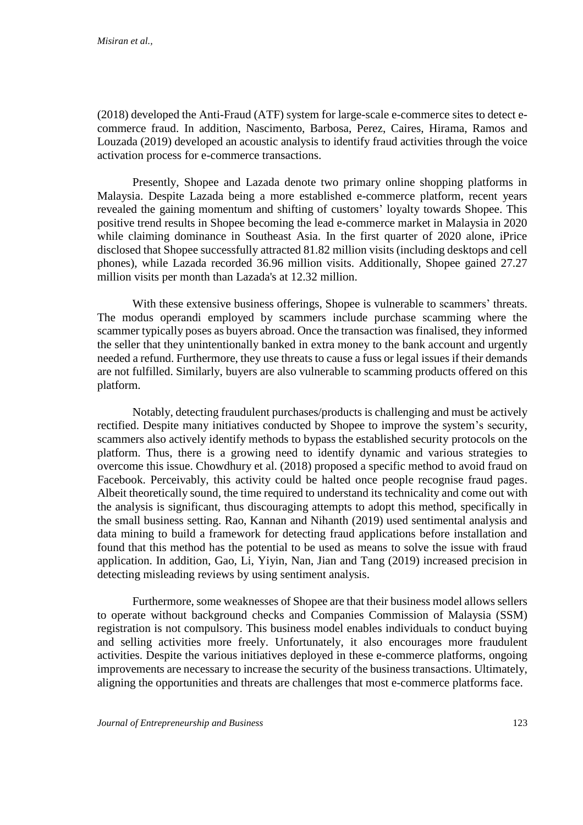(2018) developed the Anti-Fraud (ATF) system for large-scale e-commerce sites to detect ecommerce fraud. In addition, Nascimento, Barbosa, Perez, Caires, Hirama, Ramos and Louzada (2019) developed an acoustic analysis to identify fraud activities through the voice activation process for e-commerce transactions.

Presently, Shopee and Lazada denote two primary online shopping platforms in Malaysia. Despite Lazada being a more established e-commerce platform, recent years revealed the gaining momentum and shifting of customers' loyalty towards Shopee. This positive trend results in Shopee becoming the lead e-commerce market in Malaysia in 2020 while claiming dominance in Southeast Asia. In the first quarter of 2020 alone, iPrice disclosed that Shopee successfully attracted 81.82 million visits (including desktops and cell phones), while Lazada recorded 36.96 million visits. Additionally, Shopee gained 27.27 million visits per month than Lazada's at 12.32 million.

With these extensive business offerings, Shopee is vulnerable to scammers' threats. The modus operandi employed by scammers include purchase scamming where the scammer typically poses as buyers abroad. Once the transaction was finalised, they informed the seller that they unintentionally banked in extra money to the bank account and urgently needed a refund. Furthermore, they use threats to cause a fuss or legal issues if their demands are not fulfilled. Similarly, buyers are also vulnerable to scamming products offered on this platform.

Notably, detecting fraudulent purchases/products is challenging and must be actively rectified. Despite many initiatives conducted by Shopee to improve the system's security, scammers also actively identify methods to bypass the established security protocols on the platform. Thus, there is a growing need to identify dynamic and various strategies to overcome this issue. Chowdhury et al. (2018) proposed a specific method to avoid fraud on Facebook. Perceivably, this activity could be halted once people recognise fraud pages. Albeit theoretically sound, the time required to understand its technicality and come out with the analysis is significant, thus discouraging attempts to adopt this method, specifically in the small business setting. Rao, Kannan and Nihanth (2019) used sentimental analysis and data mining to build a framework for detecting fraud applications before installation and found that this method has the potential to be used as means to solve the issue with fraud application. In addition, Gao, Li, Yiyin, Nan, Jian and Tang (2019) increased precision in detecting misleading reviews by using sentiment analysis.

Furthermore, some weaknesses of Shopee are that their business model allows sellers to operate without background checks and Companies Commission of Malaysia (SSM) registration is not compulsory. This business model enables individuals to conduct buying and selling activities more freely. Unfortunately, it also encourages more fraudulent activities. Despite the various initiatives deployed in these e-commerce platforms, ongoing improvements are necessary to increase the security of the business transactions. Ultimately, aligning the opportunities and threats are challenges that most e-commerce platforms face.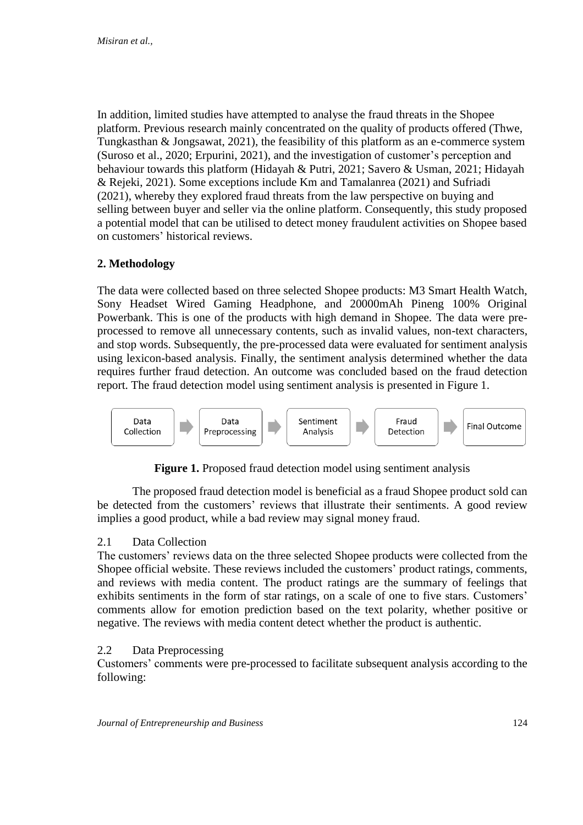In addition, limited studies have attempted to analyse the fraud threats in the Shopee platform. Previous research mainly concentrated on the quality of products offered (Thwe, Tungkasthan & Jongsawat, 2021), the feasibility of this platform as an e-commerce system (Suroso et al., 2020; Erpurini, 2021), and the investigation of customer's perception and behaviour towards this platform (Hidayah & Putri, 2021; Savero & Usman, 2021; Hidayah & Rejeki, 2021). Some exceptions include Km and Tamalanrea (2021) and Sufriadi (2021), whereby they explored fraud threats from the law perspective on buying and selling between buyer and seller via the online platform. Consequently, this study proposed a potential model that can be utilised to detect money fraudulent activities on Shopee based on customers' historical reviews.

# **2. Methodology**

The data were collected based on three selected Shopee products: M3 Smart Health Watch, Sony Headset Wired Gaming Headphone, and 20000mAh Pineng 100% Original Powerbank. This is one of the products with high demand in Shopee. The data were preprocessed to remove all unnecessary contents, such as invalid values, non-text characters, and stop words. Subsequently, the pre-processed data were evaluated for sentiment analysis using lexicon-based analysis. Finally, the sentiment analysis determined whether the data requires further fraud detection. An outcome was concluded based on the fraud detection report. The fraud detection model using sentiment analysis is presented in Figure 1.



**Figure 1.** Proposed fraud detection model using sentiment analysis

The proposed fraud detection model is beneficial as a fraud Shopee product sold can be detected from the customers' reviews that illustrate their sentiments. A good review implies a good product, while a bad review may signal money fraud.

# 2.1 Data Collection

The customers' reviews data on the three selected Shopee products were collected from the Shopee official website. These reviews included the customers' product ratings, comments, and reviews with media content. The product ratings are the summary of feelings that exhibits sentiments in the form of star ratings, on a scale of one to five stars. Customers' comments allow for emotion prediction based on the text polarity, whether positive or negative. The reviews with media content detect whether the product is authentic.

# 2.2 Data Preprocessing

Customers' comments were pre-processed to facilitate subsequent analysis according to the following: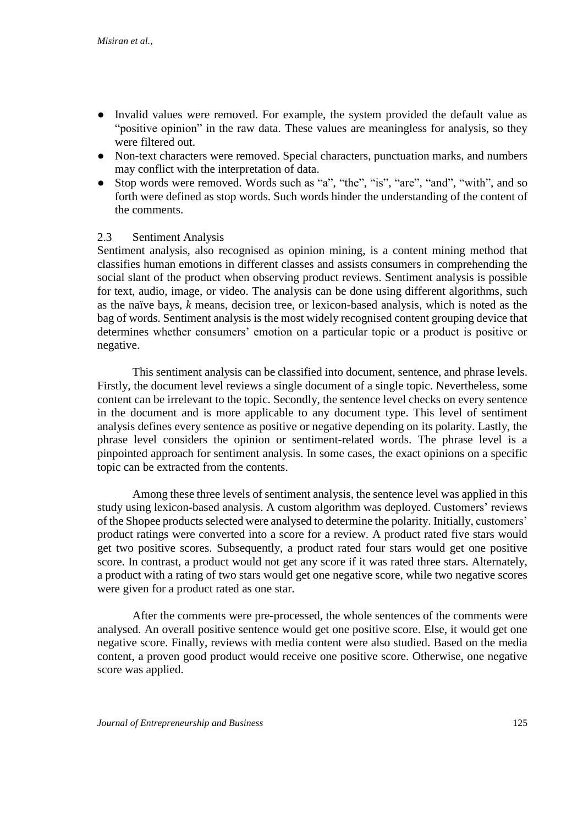- Invalid values were removed. For example, the system provided the default value as "positive opinion" in the raw data. These values are meaningless for analysis, so they were filtered out.
- Non-text characters were removed. Special characters, punctuation marks, and numbers may conflict with the interpretation of data.
- Stop words were removed. Words such as "a", "the", "is", "are", "and", "with", and so forth were defined as stop words. Such words hinder the understanding of the content of the comments.

## 2.3 Sentiment Analysis

Sentiment analysis, also recognised as opinion mining, is a content mining method that classifies human emotions in different classes and assists consumers in comprehending the social slant of the product when observing product reviews. Sentiment analysis is possible for text, audio, image, or video. The analysis can be done using different algorithms, such as the naïve bays, *k* means, decision tree, or lexicon-based analysis, which is noted as the bag of words. Sentiment analysis is the most widely recognised content grouping device that determines whether consumers' emotion on a particular topic or a product is positive or negative.

This sentiment analysis can be classified into document, sentence, and phrase levels. Firstly, the document level reviews a single document of a single topic. Nevertheless, some content can be irrelevant to the topic. Secondly, the sentence level checks on every sentence in the document and is more applicable to any document type. This level of sentiment analysis defines every sentence as positive or negative depending on its polarity. Lastly, the phrase level considers the opinion or sentiment-related words. The phrase level is a pinpointed approach for sentiment analysis. In some cases, the exact opinions on a specific topic can be extracted from the contents.

Among these three levels of sentiment analysis, the sentence level was applied in this study using lexicon-based analysis. A custom algorithm was deployed. Customers' reviews of the Shopee products selected were analysed to determine the polarity. Initially, customers' product ratings were converted into a score for a review. A product rated five stars would get two positive scores. Subsequently, a product rated four stars would get one positive score. In contrast, a product would not get any score if it was rated three stars. Alternately, a product with a rating of two stars would get one negative score, while two negative scores were given for a product rated as one star.

After the comments were pre-processed, the whole sentences of the comments were analysed. An overall positive sentence would get one positive score. Else, it would get one negative score. Finally, reviews with media content were also studied. Based on the media content, a proven good product would receive one positive score. Otherwise, one negative score was applied.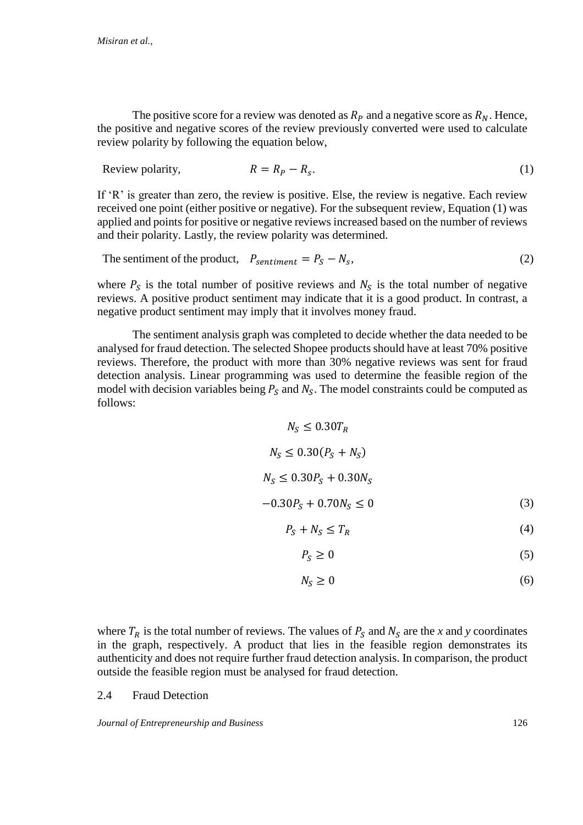The positive score for a review was denoted as  $R_p$  and a negative score as  $R_p$ . Hence, the positive and negative scores of the review previously converted were used to calculate review polarity by following the equation below,

$$
Review\,polarity, \qquad R = R_P - R_S. \tag{1}
$$

If 'R' is greater than zero, the review is positive. Else, the review is negative. Each review received one point (either positive or negative). For the subsequent review, Equation (1) was applied and points for positive or negative reviews increased based on the number of reviews and their polarity. Lastly, the review polarity was determined.

The sentiment of the product,  $P_{sentiment} = P_S - N_S$ ,  $,$  (2)

where  $P_S$  is the total number of positive reviews and  $N_S$  is the total number of negative reviews. A positive product sentiment may indicate that it is a good product. In contrast, a negative product sentiment may imply that it involves money fraud.

The sentiment analysis graph was completed to decide whether the data needed to be analysed for fraud detection. The selected Shopee products should have at least 70% positive reviews. Therefore, the product with more than 30% negative reviews was sent for fraud detection analysis. Linear programming was used to determine the feasible region of the model with decision variables being  $P_s$  and  $N_s$ . The model constraints could be computed as follows:

$$
N_S \le 0.30T_R
$$
  
\n
$$
N_S \le 0.30(P_S + N_S)
$$
  
\n
$$
N_S \le 0.30P_S + 0.30N_S
$$
  
\n
$$
-0.30P_S + 0.70N_S \le 0
$$
  
\n
$$
P_S + N_S \le T_P
$$
\n(4)

$$
S + N_S \le I_R \tag{4}
$$

$$
P_S \ge 0\tag{5}
$$

$$
N_S \ge 0 \tag{6}
$$

where  $T_R$  is the total number of reviews. The values of  $P_S$  and  $N_S$  are the *x* and *y* coordinates in the graph, respectively. A product that lies in the feasible region demonstrates its authenticity and does not require further fraud detection analysis. In comparison, the product outside the feasible region must be analysed for fraud detection.

## 2.4 Fraud Detection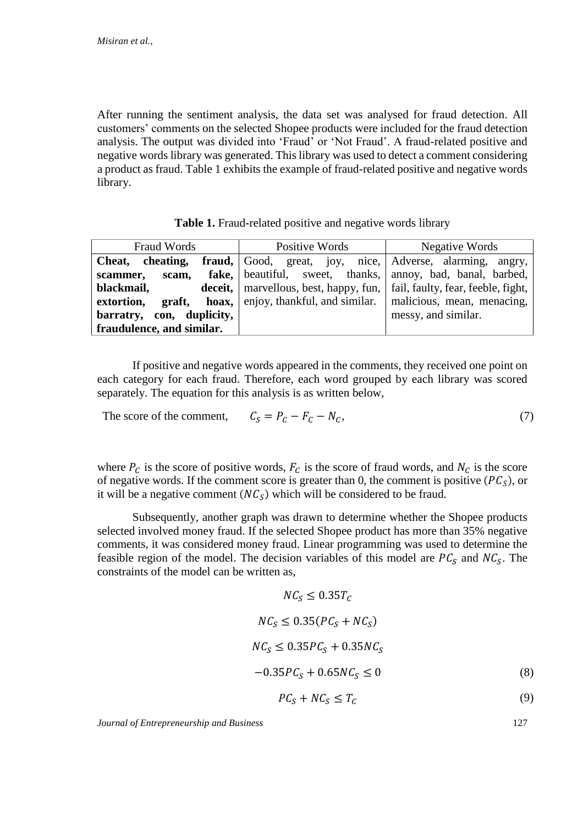After running the sentiment analysis, the data set was analysed for fraud detection. All customers' comments on the selected Shopee products were included for the fraud detection analysis. The output was divided into 'Fraud' or 'Not Fraud'. A fraud-related positive and negative words library was generated. This library was used to detect a comment considering a product as fraud. Table 1 exhibits the example of fraud-related positive and negative words library.

|  | Table 1. Fraud-related positive and negative words library |  |  |  |
|--|------------------------------------------------------------|--|--|--|
|--|------------------------------------------------------------|--|--|--|

| Fraud Words               | Positive Words                                                    | Negative Words                     |  |
|---------------------------|-------------------------------------------------------------------|------------------------------------|--|
| Cheat, cheating,          | <b>fraud,</b> Good, great, joy, nice, Adverse, alarming, angry,   |                                    |  |
| scam,<br>scammer,         | <b>fake,</b> beautiful, sweet, thanks, annoy, bad, banal, barbed, |                                    |  |
| blackmail,                | <b>deceit,</b>   marvellous, best, happy, fun,                    | fail, faulty, fear, feeble, fight, |  |
| extortion,<br>graft,      | <b>hoax</b> , enjoy, thankful, and similar.                       | malicious, mean, menacing,         |  |
| barratry, con, duplicity, |                                                                   | messy, and similar.                |  |
| fraudulence, and similar. |                                                                   |                                    |  |

If positive and negative words appeared in the comments, they received one point on each category for each fraud. Therefore, each word grouped by each library was scored separately. The equation for this analysis is as written below,

The score of the comment,  $C_S = P_C - F_C - N_C$ , (7)

where  $P_c$  is the score of positive words,  $F_c$  is the score of fraud words, and  $N_c$  is the score of negative words. If the comment score is greater than 0, the comment is positive  $(PC<sub>S</sub>)$ , or it will be a negative comment  $(NC<sub>S</sub>)$  which will be considered to be fraud.

Subsequently, another graph was drawn to determine whether the Shopee products selected involved money fraud. If the selected Shopee product has more than 35% negative comments, it was considered money fraud. Linear programming was used to determine the feasible region of the model. The decision variables of this model are  $PC_S$  and  $NC_S$ . The constraints of the model can be written as,

$$
NC_S \le 0.35T_C
$$
  
\n
$$
NC_S \le 0.35(PC_S + NC_S)
$$
  
\n
$$
NC_S \le 0.35PC_S + 0.35NC_S
$$
  
\n
$$
-0.35PC_S + 0.65NC_S \le 0
$$
\n(8)

$$
PC_S + NC_S \le T_C \tag{9}
$$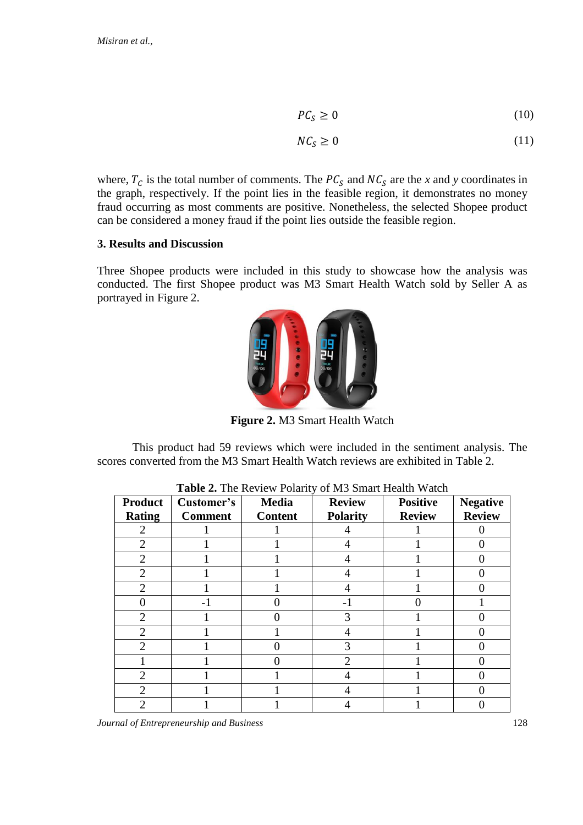$$
PC_S \ge 0 \tag{10}
$$

$$
NC_S \ge 0\tag{11}
$$

where,  $T_c$  is the total number of comments. The  $PC_s$  and  $NC_s$  are the *x* and *y* coordinates in the graph, respectively. If the point lies in the feasible region, it demonstrates no money fraud occurring as most comments are positive. Nonetheless, the selected Shopee product can be considered a money fraud if the point lies outside the feasible region.

# **3. Results and Discussion**

Three Shopee products were included in this study to showcase how the analysis was conducted. The first Shopee product was M3 Smart Health Watch sold by Seller A as portrayed in Figure 2.



**Figure 2.** M3 Smart Health Watch

This product had 59 reviews which were included in the sentiment analysis. The scores converted from the M3 Smart Health Watch reviews are exhibited in Table 2.

| <b>Product</b><br><b>Rating</b> | Customer's<br><b>Comment</b> | <b>Media</b><br><b>Content</b> | <b>Review</b><br><b>Polarity</b> | <b>Positive</b><br><b>Review</b> | <b>Negative</b><br><b>Review</b> |
|---------------------------------|------------------------------|--------------------------------|----------------------------------|----------------------------------|----------------------------------|
|                                 |                              |                                |                                  |                                  |                                  |
| $\overline{2}$                  |                              |                                | 4                                |                                  |                                  |
| $\overline{2}$                  |                              |                                |                                  |                                  |                                  |
| $\overline{2}$                  |                              |                                |                                  |                                  |                                  |
| $\overline{2}$                  |                              |                                |                                  |                                  |                                  |
|                                 | -1                           |                                | $-1$                             |                                  |                                  |
| $\overline{2}$                  |                              |                                | 3                                |                                  |                                  |
| $\overline{2}$                  |                              |                                |                                  |                                  |                                  |
| $\overline{2}$                  |                              |                                | 3                                |                                  |                                  |
|                                 |                              |                                | $\overline{2}$                   |                                  |                                  |
| $\overline{2}$                  |                              |                                |                                  |                                  |                                  |
| 2                               |                              |                                |                                  |                                  |                                  |
| 2                               |                              |                                |                                  |                                  |                                  |

**Table 2.** The Review Polarity of M3 Smart Health Watch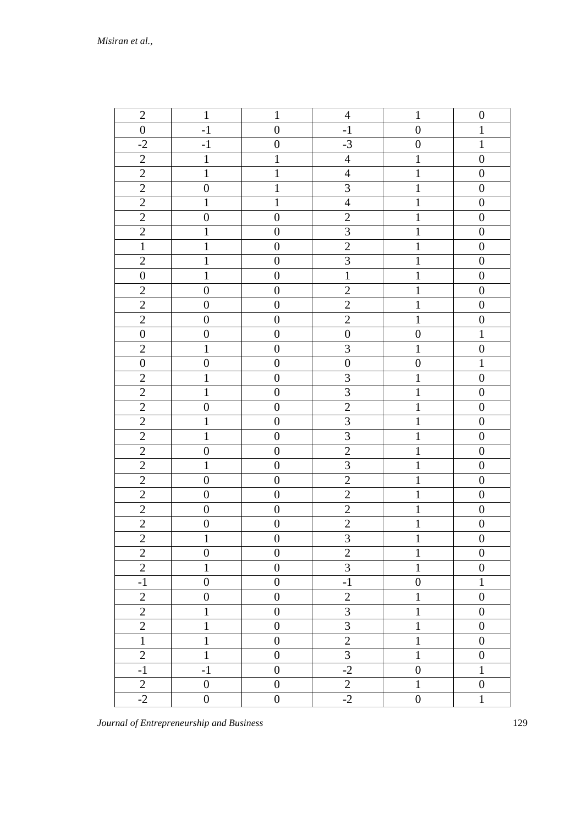| $\sqrt{2}$       | $\mathbf{1}$     | $\mathbf{1}$     | $\overline{4}$          | $\mathbf{1}$     | $\boldsymbol{0}$ |
|------------------|------------------|------------------|-------------------------|------------------|------------------|
| $\boldsymbol{0}$ | $-1$             | $\boldsymbol{0}$ | $-1$                    | $\boldsymbol{0}$ | $\mathbf{1}$     |
| $-2$             | $-1$             | $\boldsymbol{0}$ | $-3$                    | $\boldsymbol{0}$ | $\mathbf{1}$     |
| $\mathbf{2}$     | $\mathbf{1}$     | $\mathbf{1}$     | $\overline{4}$          | $\mathbf{1}$     | $\boldsymbol{0}$ |
| $\mathbf{2}$     | $\mathbf 1$      | $\mathbf{1}$     | $\overline{4}$          | $\mathbf 1$      | $\boldsymbol{0}$ |
| $\overline{2}$   | $\boldsymbol{0}$ | $\mathbf{1}$     | $\mathfrak{Z}$          | $\mathbf{1}$     | $\boldsymbol{0}$ |
| $\mathbf{2}$     | $\mathbf 1$      | $\mathbf{1}$     | $\overline{4}$          | $\mathbf{1}$     | $\boldsymbol{0}$ |
| $\mathbf{2}$     | $\boldsymbol{0}$ | $\boldsymbol{0}$ | $\sqrt{2}$              | $\mathbf{1}$     | $\boldsymbol{0}$ |
| $\overline{2}$   | $\mathbf{1}$     | $\boldsymbol{0}$ | $\overline{3}$          | $\mathbf{1}$     | $\boldsymbol{0}$ |
| $\mathbf{1}$     | $\mathbf 1$      | $\boldsymbol{0}$ | $\overline{2}$          | $1\,$            | $\boldsymbol{0}$ |
| $\overline{2}$   | $\mathbf 1$      | $\boldsymbol{0}$ | $\overline{3}$          | $\mathbf{1}$     | $\boldsymbol{0}$ |
| $\boldsymbol{0}$ | $\mathbf{1}$     | $\boldsymbol{0}$ | $\mathbf 1$             | $\mathbf 1$      | $\boldsymbol{0}$ |
| $\overline{2}$   | $\boldsymbol{0}$ | $\boldsymbol{0}$ | $\overline{2}$          | $\mathbf{1}$     | $\boldsymbol{0}$ |
| $\mathbf{2}$     | $\boldsymbol{0}$ | $\boldsymbol{0}$ | $\sqrt{2}$              | $\mathbf{1}$     | $\boldsymbol{0}$ |
| $\overline{2}$   | $\boldsymbol{0}$ | $\boldsymbol{0}$ | $\sqrt{2}$              | $\mathbf{1}$     | $\boldsymbol{0}$ |
| $\boldsymbol{0}$ | $\boldsymbol{0}$ | $\boldsymbol{0}$ | $\boldsymbol{0}$        | $\boldsymbol{0}$ | $\mathbf{1}$     |
| $\overline{2}$   | $\mathbf{1}$     | $\boldsymbol{0}$ | 3                       | $\mathbf{1}$     | $\boldsymbol{0}$ |
| $\boldsymbol{0}$ | $\boldsymbol{0}$ | $\boldsymbol{0}$ | $\boldsymbol{0}$        | $\boldsymbol{0}$ | $\mathbf 1$      |
| $\overline{2}$   | $\mathbf{1}$     | $\boldsymbol{0}$ | 3                       | $\mathbf{1}$     | $\boldsymbol{0}$ |
| $\overline{2}$   | $\mathbf 1$      | $\boldsymbol{0}$ | $\overline{3}$          | $\mathbf{1}$     | $\boldsymbol{0}$ |
| $\mathfrak{2}$   | $\boldsymbol{0}$ | $\boldsymbol{0}$ | $\overline{2}$          | $\mathbf{1}$     | $\boldsymbol{0}$ |
| $\sqrt{2}$       | $\,1\,$          | $\boldsymbol{0}$ | $\mathfrak 3$           | $\mathbf{1}$     | $\boldsymbol{0}$ |
| $\sqrt{2}$       | $\mathbf 1$      | $\boldsymbol{0}$ | $\mathfrak{Z}$          | $\mathbf{1}$     | $\boldsymbol{0}$ |
| $\overline{c}$   | $\boldsymbol{0}$ | $\boldsymbol{0}$ | $\overline{c}$          | $\mathbf 1$      | $\boldsymbol{0}$ |
| $\overline{2}$   | $\mathbf{1}$     | $\boldsymbol{0}$ | $\overline{3}$          | $1\,$            | $\boldsymbol{0}$ |
| $\overline{c}$   | $\boldsymbol{0}$ | $\boldsymbol{0}$ | $\overline{2}$          | $\,1\,$          | $\boldsymbol{0}$ |
| $\overline{2}$   | $\boldsymbol{0}$ | $\boldsymbol{0}$ | $\overline{2}$          | $\mathbf 1$      | $\boldsymbol{0}$ |
| $\overline{2}$   | $\boldsymbol{0}$ | $\boldsymbol{0}$ | $\overline{2}$          | $\mathbf 1$      | $\boldsymbol{0}$ |
| $\sqrt{2}$       | $\boldsymbol{0}$ | $\boldsymbol{0}$ | $\sqrt{2}$              | $\,1\,$          | $\boldsymbol{0}$ |
| $\overline{c}$   | $\mathbf{1}$     | $\boldsymbol{0}$ | $\overline{\mathbf{3}}$ | $\mathbf{1}$     | $\boldsymbol{0}$ |
| $\mathbf{2}$     | $\boldsymbol{0}$ | $\boldsymbol{0}$ | $\overline{2}$          | 1                | $\boldsymbol{0}$ |
| $\overline{c}$   | 1                | $\boldsymbol{0}$ | $\sqrt{3}$              | $\mathbf{1}$     | $\boldsymbol{0}$ |
| $-1$             | $\boldsymbol{0}$ | $\boldsymbol{0}$ | $-1$                    | $\boldsymbol{0}$ | $\mathbf{1}$     |
| $\sqrt{2}$       | $\boldsymbol{0}$ | $\boldsymbol{0}$ | $\sqrt{2}$              | $\mathbf{1}$     | $\boldsymbol{0}$ |
| $\overline{2}$   | 1                | $\boldsymbol{0}$ | $\mathfrak{Z}$          | 1                | $\boldsymbol{0}$ |
| $\overline{2}$   | $\mathbf{1}$     | $\boldsymbol{0}$ | $\mathfrak{Z}$          | $\mathbf{1}$     | $\boldsymbol{0}$ |
| $\mathbf{1}$     | $\mathbf{1}$     | $\boldsymbol{0}$ | $\sqrt{2}$              | 1                | $\boldsymbol{0}$ |
| $\sqrt{2}$       | $\mathbf{1}$     | $\boldsymbol{0}$ | $\sqrt{3}$              | $\mathbf{1}$     | $\boldsymbol{0}$ |
| $-1$             | $-1$             | $\boldsymbol{0}$ | $-2$                    | $\boldsymbol{0}$ | $\mathbf{1}$     |
| $\sqrt{2}$       | $\boldsymbol{0}$ | $\boldsymbol{0}$ | $\sqrt{2}$              | $\mathbf{1}$     | $\boldsymbol{0}$ |
| $-2$             | $\boldsymbol{0}$ | $\boldsymbol{0}$ | $-2$                    | $\boldsymbol{0}$ | $\mathbf{1}$     |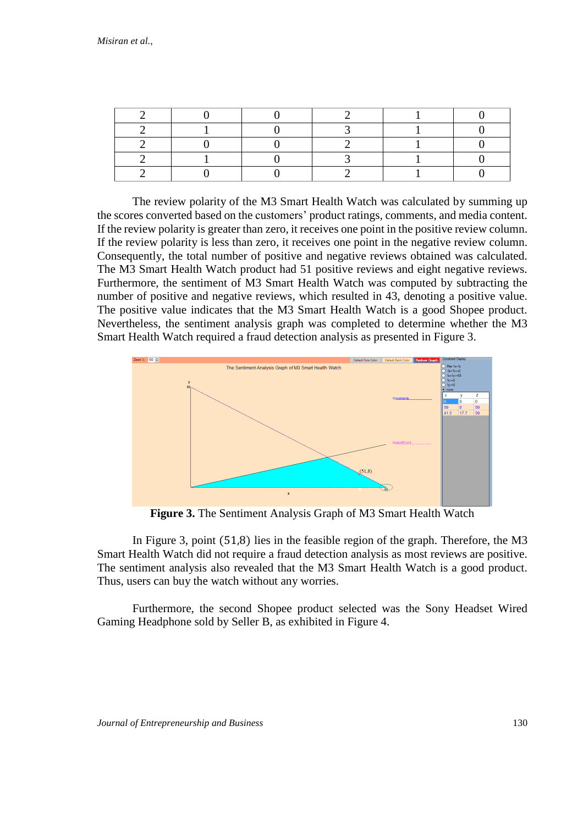The review polarity of the M3 Smart Health Watch was calculated by summing up the scores converted based on the customers' product ratings, comments, and media content. If the review polarity is greater than zero, it receives one point in the positive review column. If the review polarity is less than zero, it receives one point in the negative review column. Consequently, the total number of positive and negative reviews obtained was calculated. The M3 Smart Health Watch product had 51 positive reviews and eight negative reviews. Furthermore, the sentiment of M3 Smart Health Watch was computed by subtracting the number of positive and negative reviews, which resulted in 43, denoting a positive value. The positive value indicates that the M3 Smart Health Watch is a good Shopee product. Nevertheless, the sentiment analysis graph was completed to determine whether the M3 Smart Health Watch required a fraud detection analysis as presented in Figure 3.



**Figure 3.** The Sentiment Analysis Graph of M3 Smart Health Watch

In Figure 3, point (51,8) lies in the feasible region of the graph. Therefore, the M3 Smart Health Watch did not require a fraud detection analysis as most reviews are positive. The sentiment analysis also revealed that the M3 Smart Health Watch is a good product. Thus, users can buy the watch without any worries.

Furthermore, the second Shopee product selected was the Sony Headset Wired Gaming Headphone sold by Seller B, as exhibited in Figure 4.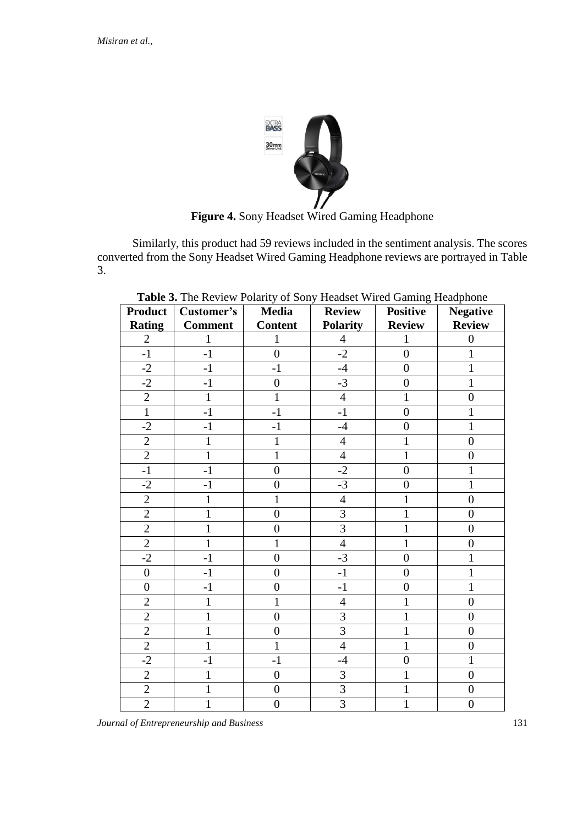

**Figure 4.** Sony Headset Wired Gaming Headphone

Similarly, this product had 59 reviews included in the sentiment analysis. The scores converted from the Sony Headset Wired Gaming Headphone reviews are portrayed in Table 3.

| <b>Product</b>   | Customer's     | <b>Media</b>     | <b>Review</b>   | <b>Positive</b>  | <b>Negative</b>  |
|------------------|----------------|------------------|-----------------|------------------|------------------|
| <b>Rating</b>    | <b>Comment</b> | <b>Content</b>   | <b>Polarity</b> | <b>Review</b>    | <b>Review</b>    |
| $\overline{2}$   | 1              | 1                | $\overline{4}$  | 1                | $\overline{0}$   |
| $-1$             | $-1$           | $\overline{0}$   | $-2$            | $\overline{0}$   | 1                |
| $-2$             | $-1$           | $-1$             | $-4$            | $\boldsymbol{0}$ | 1                |
| $-2$             | $-1$           | $\overline{0}$   | $-3$            | $\overline{0}$   | $\mathbf{1}$     |
| $\overline{2}$   | $\mathbf{1}$   | 1                | $\overline{4}$  | $\mathbf{1}$     | $\overline{0}$   |
| $\mathbf{1}$     | $-1$           | $-1$             | $-1$            | $\overline{0}$   | 1                |
| $-2$             | $-1$           | $-1$             | $-4$            | $\overline{0}$   | 1                |
| $\overline{c}$   | 1              | 1                | $\overline{4}$  | 1                | $\overline{0}$   |
| $\overline{2}$   | $\mathbf{1}$   | $\mathbf{1}$     | $\overline{4}$  | 1                | $\boldsymbol{0}$ |
| $-1$             | $-1$           | $\overline{0}$   | $-2$            | $\overline{0}$   | 1                |
| $-2$             | $-1$           | $\overline{0}$   | $-3$            | $\overline{0}$   | $\mathbf{1}$     |
| $\overline{c}$   | $\mathbf{1}$   | $\mathbf{1}$     | $\overline{4}$  | 1                | $\overline{0}$   |
| $\overline{2}$   | 1              | $\overline{0}$   | $\overline{3}$  | 1                | $\overline{0}$   |
| $\overline{2}$   | 1              | $\overline{0}$   | $\overline{3}$  | $\mathbf{1}$     | $\boldsymbol{0}$ |
| $\overline{2}$   | $\mathbf{1}$   | $\mathbf{1}$     | $\overline{4}$  | 1                | $\boldsymbol{0}$ |
| $-2$             | $-1$           | $\boldsymbol{0}$ | $-3$            | $\overline{0}$   | 1                |
| $\boldsymbol{0}$ | $-1$           | $\overline{0}$   | $-1$            | $\overline{0}$   | $\mathbf{1}$     |
| $\overline{0}$   | $-1$           | $\overline{0}$   | $-1$            | $\overline{0}$   | $\mathbf{1}$     |
| $\overline{2}$   | 1              | 1                | $\overline{4}$  | $\mathbf{1}$     | $\overline{0}$   |
| $\overline{2}$   | $\mathbf{1}$   | $\overline{0}$   | $\overline{3}$  | 1                | $\boldsymbol{0}$ |
| $\overline{c}$   | 1              | $\boldsymbol{0}$ | $\overline{3}$  | $\mathbf{1}$     | $\overline{0}$   |
| $\overline{2}$   | 1              | 1                | $\overline{4}$  | 1                | $\overline{0}$   |
| $-2$             | $-1$           | $-1$             | $-4$            | $\boldsymbol{0}$ | 1                |
| $\overline{2}$   | $\mathbf{1}$   | $\boldsymbol{0}$ | 3               | $\mathbf{1}$     | $\boldsymbol{0}$ |
| $\overline{2}$   | 1              | $\overline{0}$   | $\overline{3}$  | 1                | $\overline{0}$   |
| $\overline{2}$   | 1              | $\boldsymbol{0}$ | $\overline{3}$  | 1                | $\overline{0}$   |

**Table 3.** The Review Polarity of Sony Headset Wired Gaming Headphone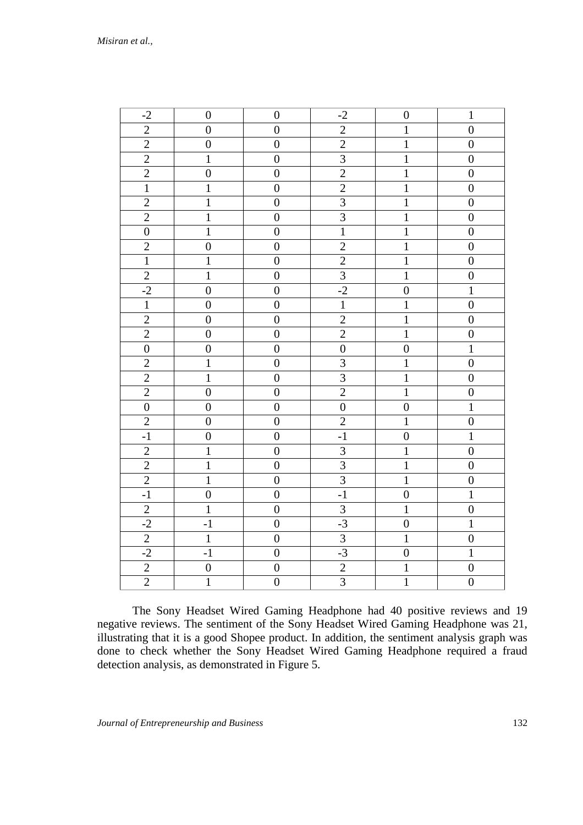| $-2$             | $\boldsymbol{0}$ | $\boldsymbol{0}$ | $-2$                        | $\boldsymbol{0}$ | $\mathbf{1}$     |
|------------------|------------------|------------------|-----------------------------|------------------|------------------|
|                  |                  |                  |                             |                  |                  |
| $\overline{c}$   | $\boldsymbol{0}$ | $\boldsymbol{0}$ | $\overline{2}$              | $\mathbf{1}$     | $\boldsymbol{0}$ |
| $\frac{2}{2}$    | $\overline{0}$   | $\overline{0}$   |                             | $\overline{1}$   | $\boldsymbol{0}$ |
|                  | $\mathbf{1}$     | $\boldsymbol{0}$ | $\frac{2}{3}$               | $\overline{1}$   | $\boldsymbol{0}$ |
| $\overline{2}$   | $\boldsymbol{0}$ | $\overline{0}$   |                             | $\overline{1}$   | $\overline{0}$   |
| $\overline{1}$   | $\mathbf{1}$     | $\overline{0}$   | $\overline{2}$              | $\overline{1}$   | $\overline{0}$   |
| $\frac{2}{2}$    | $\overline{1}$   | $\overline{0}$   |                             | $\overline{1}$   | $\overline{0}$   |
|                  | $\overline{1}$   | $\boldsymbol{0}$ | $\frac{3}{3}$ $\frac{3}{1}$ | $\overline{1}$   | $\boldsymbol{0}$ |
| $\overline{0}$   | $\mathbf{1}$     | $\boldsymbol{0}$ |                             | $\mathbf{1}$     | $\boldsymbol{0}$ |
| $\overline{c}$   | $\boldsymbol{0}$ | $\boldsymbol{0}$ | $\overline{2}$              | $\mathbf{1}$     | $\overline{0}$   |
| $\overline{1}$   | $\overline{1}$   | $\boldsymbol{0}$ | $\frac{2}{3}$               | $\overline{1}$   | $\overline{0}$   |
| $\overline{2}$   | $\overline{1}$   | $\boldsymbol{0}$ |                             | $\overline{1}$   | $\boldsymbol{0}$ |
| $-2$             | $\boldsymbol{0}$ | $\boldsymbol{0}$ |                             | $\overline{0}$   | $\overline{1}$   |
| $\overline{1}$   | $\overline{0}$   | $\overline{0}$   | $\overline{1}$              | $\mathbf{1}$     | $\overline{0}$   |
|                  | $\overline{0}$   | $\boldsymbol{0}$ |                             | $\overline{1}$   | $\overline{0}$   |
| $\frac{2}{2}$    | $\boldsymbol{0}$ | $\boldsymbol{0}$ | $\frac{2}{2}$               | $\overline{1}$   | $\boldsymbol{0}$ |
| $\boldsymbol{0}$ | $\boldsymbol{0}$ | $\boldsymbol{0}$ | $\overline{0}$              | $\boldsymbol{0}$ | $\mathbf 1$      |
| $\overline{2}$   | $\mathbf{1}$     | $\overline{0}$   | $\overline{3}$              | $\mathbf{1}$     | $\overline{0}$   |
|                  | $\overline{1}$   | $\boldsymbol{0}$ |                             | $\overline{1}$   | $\boldsymbol{0}$ |
| $\frac{2}{2}$    | $\overline{0}$   | $\boldsymbol{0}$ | $\frac{3}{2}$               | $\overline{1}$   | $\boldsymbol{0}$ |
| $\overline{0}$   | $\boldsymbol{0}$ | $\boldsymbol{0}$ | $\overline{0}$              | $\boldsymbol{0}$ | $\overline{1}$   |
| $\overline{2}$   | $\overline{0}$   | $\overline{0}$   | $\overline{2}$              | $\overline{1}$   | $\overline{0}$   |
| $-1$             | $\overline{0}$   | $\boldsymbol{0}$ | $-1$                        | $\overline{0}$   | $\overline{1}$   |
| $\overline{c}$   | $\mathbf 1$      | $\boldsymbol{0}$ |                             | $\mathbf{1}$     | $\boldsymbol{0}$ |
| $\overline{2}$   | $\overline{1}$   | $\boldsymbol{0}$ | $\frac{3}{3}$               | $\overline{1}$   | $\boldsymbol{0}$ |
| $\overline{2}$   | $\overline{1}$   | $\overline{0}$   | $\overline{3}$              | $\overline{1}$   | $\boldsymbol{0}$ |
| $-1$             | $\boldsymbol{0}$ | $\boldsymbol{0}$ | $-1$                        | $\overline{0}$   | $\overline{1}$   |
| $\overline{2}$   | $\mathbf{1}$     | $\boldsymbol{0}$ | $\frac{3}{-3}$              | $\mathbf{1}$     | $\boldsymbol{0}$ |
| $-2$             | $-1$             | $\boldsymbol{0}$ |                             | $\boldsymbol{0}$ | $\mathbf{1}$     |
| $\overline{2}$   | $\overline{1}$   | $\overline{0}$   | $\overline{3}$              | $\overline{1}$   | $\overline{0}$   |
| $-2$             | $-1$             | $\boldsymbol{0}$ | $-3$                        | $\boldsymbol{0}$ | $\overline{1}$   |
| $\overline{2}$   | $\overline{0}$   | $\boldsymbol{0}$ | $\overline{2}$              | $\mathbf 1$      | $\boldsymbol{0}$ |
| $\overline{2}$   | $\mathbf{1}$     | $\boldsymbol{0}$ | $\overline{3}$              | $\overline{1}$   | $\boldsymbol{0}$ |

The Sony Headset Wired Gaming Headphone had 40 positive reviews and 19 negative reviews. The sentiment of the Sony Headset Wired Gaming Headphone was 21, illustrating that it is a good Shopee product. In addition, the sentiment analysis graph was done to check whether the Sony Headset Wired Gaming Headphone required a fraud detection analysis, as demonstrated in Figure 5.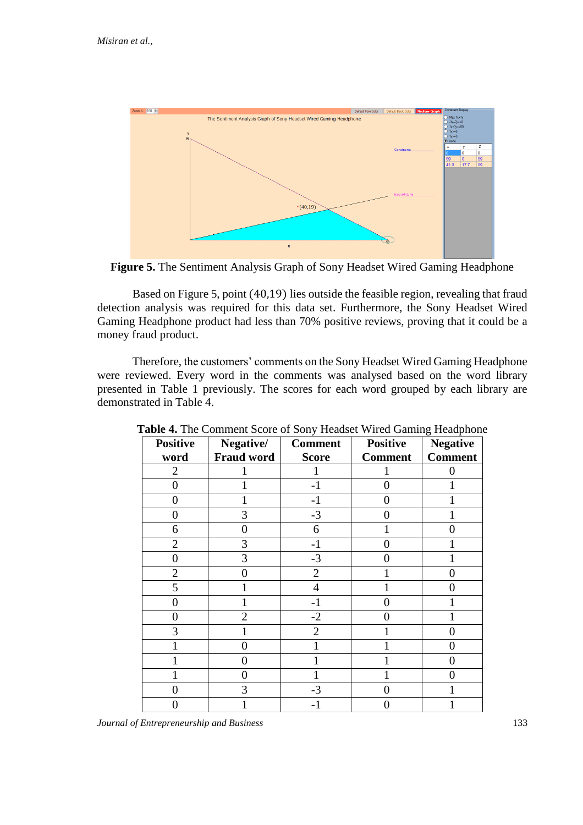

**Figure 5.** The Sentiment Analysis Graph of Sony Headset Wired Gaming Headphone

Based on Figure 5, point (40,19) lies outside the feasible region, revealing that fraud detection analysis was required for this data set. Furthermore, the Sony Headset Wired Gaming Headphone product had less than 70% positive reviews, proving that it could be a money fraud product.

Therefore, the customers' comments on the Sony Headset Wired Gaming Headphone were reviewed. Every word in the comments was analysed based on the word library presented in Table 1 previously. The scores for each word grouped by each library are demonstrated in Table 4.

| <b>Positive</b> | Negative/<br><b>Fraud word</b> | <b>Comment</b> | <b>Positive</b> | $\circ$<br><b>Negative</b><br><b>Comment</b> |
|-----------------|--------------------------------|----------------|-----------------|----------------------------------------------|
| word            |                                | <b>Score</b>   | <b>Comment</b>  |                                              |
| $\overline{2}$  |                                |                |                 |                                              |
| $\overline{0}$  |                                | $-1$           | 0               |                                              |
| 0               |                                | -1             | 0               |                                              |
| 0               | 3                              | $-3$           | 0               |                                              |
| 6               | 0                              | 6              |                 | 0                                            |
| $\overline{2}$  | 3                              | $-1$           | 0               |                                              |
| 0               | 3                              | $-3$           | 0               |                                              |
| $\overline{2}$  | 0                              | $\overline{2}$ |                 |                                              |
| 5               |                                | 4              |                 |                                              |
| 0               |                                | -1             | 0               |                                              |
| 0               | 2                              | $-2$           | 0               |                                              |
| 3               |                                | $\overline{2}$ |                 |                                              |
|                 | 0                              |                |                 | 0                                            |
|                 | 0                              |                |                 | ( )                                          |
|                 | 0                              |                |                 | 0                                            |
| 0               | 3                              | $-3$           | 0               |                                              |
| 0               |                                | $-1$           | 0               |                                              |

**Table 4.** The Comment Score of Sony Headset Wired Gaming Headphone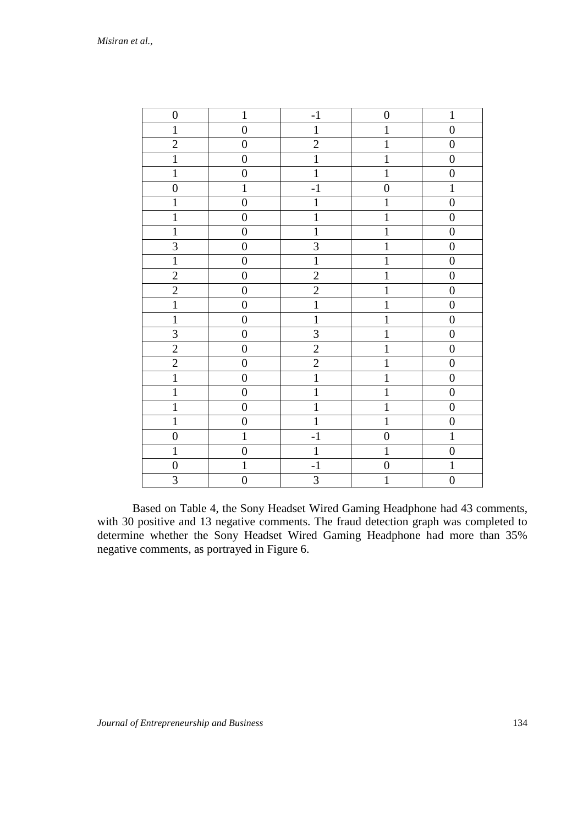| $\boldsymbol{0}$        | $\mathbf{1}$     | $-1$           | $\boldsymbol{0}$ | $\mathbf{1}$     |
|-------------------------|------------------|----------------|------------------|------------------|
| $\mathbf{1}$            | $\boldsymbol{0}$ | $\,1$          | $\mathbf 1$      | $\overline{0}$   |
| $\overline{c}$          | $\boldsymbol{0}$ | $\overline{2}$ | $\mathbf{1}$     | $\boldsymbol{0}$ |
| $\overline{1}$          | $\boldsymbol{0}$ | $\overline{1}$ | $\overline{1}$   | $\boldsymbol{0}$ |
| $\mathbf{1}$            | $\overline{0}$   | $\overline{1}$ | $\mathbf{1}$     | $\overline{0}$   |
| $\overline{0}$          | $\mathbf 1$      | $-1$           | $\overline{0}$   | $\mathbf{1}$     |
| $\mathbf{1}$            | $\overline{0}$   | $\mathbf{1}$   | $\mathbf{1}$     | $\overline{0}$   |
| $\mathbf 1$             | $\boldsymbol{0}$ | $\overline{1}$ | $\overline{1}$   | $\boldsymbol{0}$ |
| $\mathbf{1}$            | $\overline{0}$   | $\overline{1}$ | $\mathbf{1}$     | $\overline{0}$   |
| 3                       | $\boldsymbol{0}$ | $\overline{3}$ | $\mathbf{1}$     | $\boldsymbol{0}$ |
| $\overline{1}$          | $\boldsymbol{0}$ | $\overline{1}$ | $\overline{1}$   | $\overline{0}$   |
| $\overline{2}$          | $\overline{0}$   | $\overline{2}$ | $\overline{1}$   | $\boldsymbol{0}$ |
| $\overline{2}$          | $\boldsymbol{0}$ | $\overline{2}$ | $\overline{1}$   | $\boldsymbol{0}$ |
| $\overline{1}$          | $\overline{0}$   | $\overline{1}$ | $\overline{1}$   | $\overline{0}$   |
| $\overline{1}$          | $\boldsymbol{0}$ | $\overline{1}$ | $\overline{1}$   | $\boldsymbol{0}$ |
| $\overline{\mathbf{3}}$ | $\boldsymbol{0}$ | $\overline{3}$ | $\overline{1}$   | $\boldsymbol{0}$ |
| $\overline{2}$          | $\boldsymbol{0}$ | $\overline{2}$ | $\mathbf{1}$     | $\boldsymbol{0}$ |
| $\overline{2}$          | $\boldsymbol{0}$ | $\overline{2}$ | $\overline{1}$   | $\overline{0}$   |
| $\overline{1}$          | $\boldsymbol{0}$ | $\overline{1}$ | $\mathbf{1}$     | $\boldsymbol{0}$ |
| $\overline{1}$          | $\boldsymbol{0}$ | $\overline{1}$ | $\overline{1}$   | $\boldsymbol{0}$ |
| $\mathbf{1}$            | $\overline{0}$   | $\overline{1}$ | $\overline{1}$   | $\boldsymbol{0}$ |
| $\mathbf{1}$            | $\boldsymbol{0}$ | $\overline{1}$ | $\overline{1}$   | $\boldsymbol{0}$ |
| $\boldsymbol{0}$        | $\mathbf{1}$     | $-1$           | $\boldsymbol{0}$ | $\overline{1}$   |
| $\mathbf 1$             | $\boldsymbol{0}$ | $\mathbf{1}$   | $\mathbf 1$      | $\boldsymbol{0}$ |
| $\boldsymbol{0}$        | $\mathbf{1}$     | $-1$           | $\boldsymbol{0}$ | $\mathbf{1}$     |
| $\overline{\mathbf{3}}$ | $\overline{0}$   | $\overline{3}$ | $\overline{1}$   | $\overline{0}$   |

Based on Table 4, the Sony Headset Wired Gaming Headphone had 43 comments, with 30 positive and 13 negative comments. The fraud detection graph was completed to determine whether the Sony Headset Wired Gaming Headphone had more than 35% negative comments, as portrayed in Figure 6.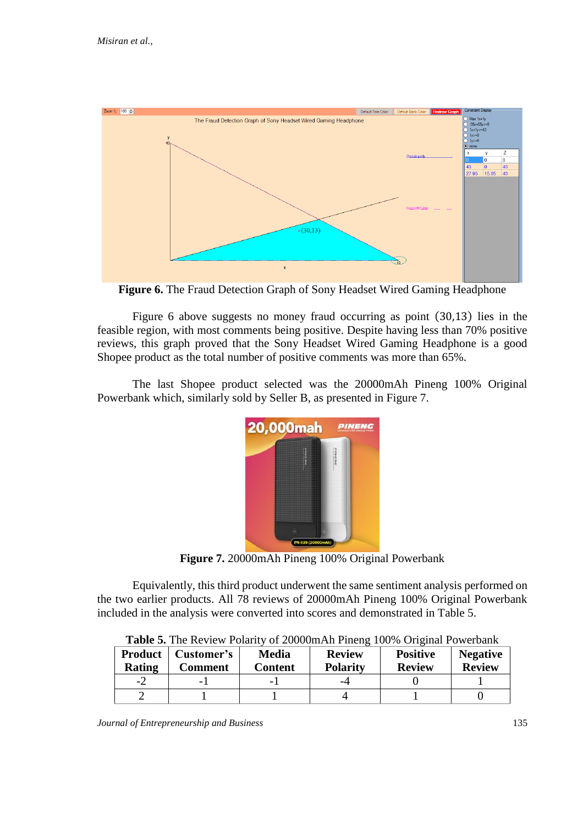

**Figure 6.** The Fraud Detection Graph of Sony Headset Wired Gaming Headphone

Figure 6 above suggests no money fraud occurring as point (30,13) lies in the feasible region, with most comments being positive. Despite having less than 70% positive reviews, this graph proved that the Sony Headset Wired Gaming Headphone is a good Shopee product as the total number of positive comments was more than 65%.

The last Shopee product selected was the 20000mAh Pineng 100% Original Powerbank which, similarly sold by Seller B, as presented in Figure 7.



**Figure 7.** 20000mAh Pineng 100% Original Powerbank

Equivalently, this third product underwent the same sentiment analysis performed on the two earlier products. All 78 reviews of 20000mAh Pineng 100% Original Powerbank included in the analysis were converted into scores and demonstrated in Table 5.

|                                 | <b>THUSE</b> THE INFIRM I GRIDE OF TOO CHILIM IN FIRMS TO $\sigma$ . On the control of $\sigma$ |                                |                                  |                                  |                                  |  |  |  |
|---------------------------------|-------------------------------------------------------------------------------------------------|--------------------------------|----------------------------------|----------------------------------|----------------------------------|--|--|--|
| <b>Product</b><br><b>Rating</b> | Customer's<br>Comment                                                                           | <b>Media</b><br><b>Content</b> | <b>Review</b><br><b>Polarity</b> | <b>Positive</b><br><b>Review</b> | <b>Negative</b><br><b>Review</b> |  |  |  |
| -2                              |                                                                                                 | -                              | -4                               |                                  |                                  |  |  |  |
|                                 |                                                                                                 |                                |                                  |                                  |                                  |  |  |  |

**Table 5.** The Review Polarity of 20000mAh Pineng 100% Original Powerbank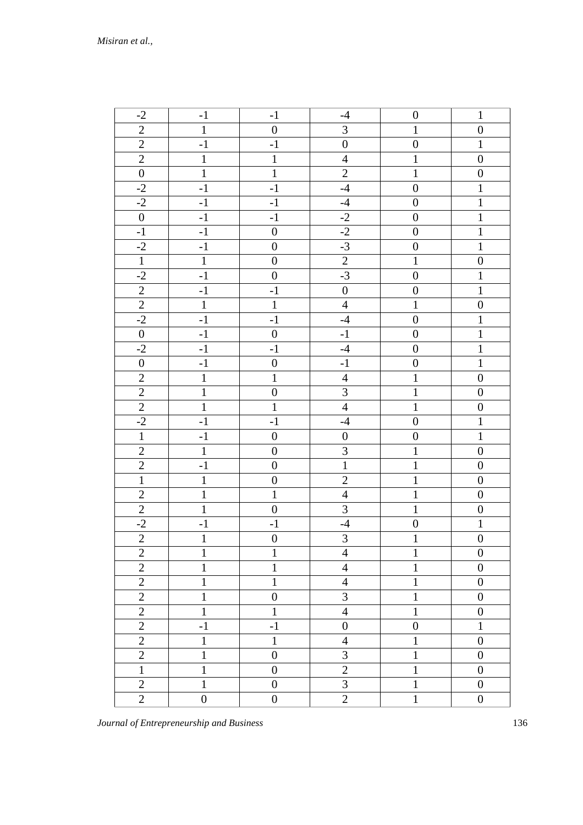| $-2$             | $-1$             | $-1$             | $-4$                    | $\boldsymbol{0}$ | $\mathbf{1}$     |
|------------------|------------------|------------------|-------------------------|------------------|------------------|
| $\overline{2}$   | $\mathbf{1}$     | $\boldsymbol{0}$ | $\mathfrak{Z}$          | $\mathbf{1}$     | $\boldsymbol{0}$ |
| $\overline{2}$   | $-1$             | $-1$             | $\boldsymbol{0}$        | $\boldsymbol{0}$ | $\mathbf{1}$     |
| $\overline{2}$   | $\mathbf{1}$     | $\mathbf{1}$     | $\overline{4}$          | $\mathbf{1}$     | $\boldsymbol{0}$ |
| $\boldsymbol{0}$ | $\mathbf{1}$     | $\mathbf{1}$     | $\mathbf{2}$            | $\mathbf{1}$     | $\boldsymbol{0}$ |
| $-2$             | $-1$             | $-1$             | $-4$                    | $\boldsymbol{0}$ | $\mathbf{1}$     |
| $-2$             | $-1$             | $-1$             | $-4$                    | $\boldsymbol{0}$ | $\mathbf{1}$     |
| $\boldsymbol{0}$ | $-1$             | $-1$             | $-2$                    | $\boldsymbol{0}$ | $1\,$            |
| $-1$             | $-1$             | $\boldsymbol{0}$ | $-2$                    | $\boldsymbol{0}$ | $\mathbf{1}$     |
| $-2$             | $-1$             | $\boldsymbol{0}$ | $-3$                    | $\boldsymbol{0}$ | $\mathbf{1}$     |
| $\mathbf{1}$     | $\mathbf{1}$     | $\boldsymbol{0}$ | $\overline{2}$          | $\mathbf{1}$     | $\boldsymbol{0}$ |
| $-2$             | $-1$             | $\boldsymbol{0}$ | $-3$                    | $\boldsymbol{0}$ | $1\,$            |
| $\mathbf{2}$     | $-1$             | $-1$             | $\boldsymbol{0}$        | $\boldsymbol{0}$ | $\mathbf{1}$     |
| $\overline{2}$   | $\mathbf{1}$     | $\mathbf{1}$     | $\overline{4}$          | $\mathbf 1$      | $\boldsymbol{0}$ |
| $-2$             | $-1$             | $-1$             | $-4$                    | $\boldsymbol{0}$ | $\mathbf{1}$     |
| $\boldsymbol{0}$ | $-1$             | $\boldsymbol{0}$ | $-1$                    | $\boldsymbol{0}$ | $\mathbf{1}$     |
| $-2$             | $-1$             | $-1$             | $-4$                    | $\overline{0}$   | $\mathbf{1}$     |
| $\boldsymbol{0}$ | $-1$             | $\boldsymbol{0}$ | $-1$                    | $\boldsymbol{0}$ | $\mathbf{1}$     |
| $\overline{2}$   | $\mathbf{1}$     | $\mathbf{1}$     | $\overline{4}$          | $\mathbf{1}$     | $\boldsymbol{0}$ |
| $\sqrt{2}$       | $\mathbf{1}$     | $\boldsymbol{0}$ | $\overline{3}$          | $\mathbf 1$      | $\boldsymbol{0}$ |
| $\mathfrak{2}$   | $\mathbf{1}$     | $\mathbf{1}$     | $\overline{4}$          | $\mathbf{1}$     | $\boldsymbol{0}$ |
| $-2$             | $-1$             | $-1$             | $-4$                    | $\boldsymbol{0}$ | $\mathbf{1}$     |
| $\mathbf{1}$     | $-1$             | $\boldsymbol{0}$ | $\boldsymbol{0}$        | $\boldsymbol{0}$ | $\mathbf{1}$     |
| $\sqrt{2}$       | $\mathbf 1$      | $\boldsymbol{0}$ | $\overline{3}$          | $\,1\,$          | $\boldsymbol{0}$ |
| $\overline{2}$   | $-1$             | $\boldsymbol{0}$ | $1\,$                   | $\mathbf 1$      | $\boldsymbol{0}$ |
| $\mathbf{1}$     | $\,1\,$          | $\boldsymbol{0}$ | $\sqrt{2}$              | $\mathbf{1}$     | $\boldsymbol{0}$ |
| $\overline{2}$   | $\mathbf 1$      | $\mathbf{1}$     | $\overline{4}$          | $\mathbf 1$      | $\boldsymbol{0}$ |
| $\overline{2}$   | $\mathbf 1$      | $\boldsymbol{0}$ | $\overline{3}$          | $\mathbf 1$      | $\boldsymbol{0}$ |
| $-2$             | $-1$             | $-1$             | $-4$                    | $\boldsymbol{0}$ | $1\,$            |
| $\overline{c}$   | $\mathbf 1$      | $\boldsymbol{0}$ | $\overline{\mathbf{3}}$ | $\mathbf{1}$     | $\boldsymbol{0}$ |
| $\mathbf{2}$     | 1                | 1                | $\overline{4}$          | 1                | $\boldsymbol{0}$ |
| $\overline{2}$   | $\mathbf{1}$     | 1                | $\overline{4}$          | $\mathbf{1}$     | $\boldsymbol{0}$ |
| $\overline{2}$   | 1                | 1                | $\overline{4}$          | $\mathbf{1}$     | $\boldsymbol{0}$ |
| $\overline{2}$   | $\mathbf{1}$     | $\boldsymbol{0}$ | $\overline{3}$          | $\mathbf 1$      | $\boldsymbol{0}$ |
| $\overline{2}$   | 1                | 1                | $\overline{4}$          | $\mathbf{1}$     | $\boldsymbol{0}$ |
| $\overline{2}$   | $-1$             | $-1$             | $\boldsymbol{0}$        | $\boldsymbol{0}$ | 1                |
| $\overline{2}$   | $\mathbf 1$      | 1                | $\overline{4}$          | $\mathbf{1}$     | $\boldsymbol{0}$ |
| $\sqrt{2}$       | $\mathbf{1}$     | $\boldsymbol{0}$ | 3                       | $\mathbf{1}$     | $\boldsymbol{0}$ |
| 1                | 1                | $\theta$         | $\overline{2}$          | 1                | $\boldsymbol{0}$ |
| $\overline{2}$   | $\mathbf{1}$     | $\boldsymbol{0}$ | 3                       | $\mathbf{1}$     | $\boldsymbol{0}$ |
| $\overline{2}$   | $\boldsymbol{0}$ | $\boldsymbol{0}$ | $\overline{2}$          | $\mathbf{1}$     | $\boldsymbol{0}$ |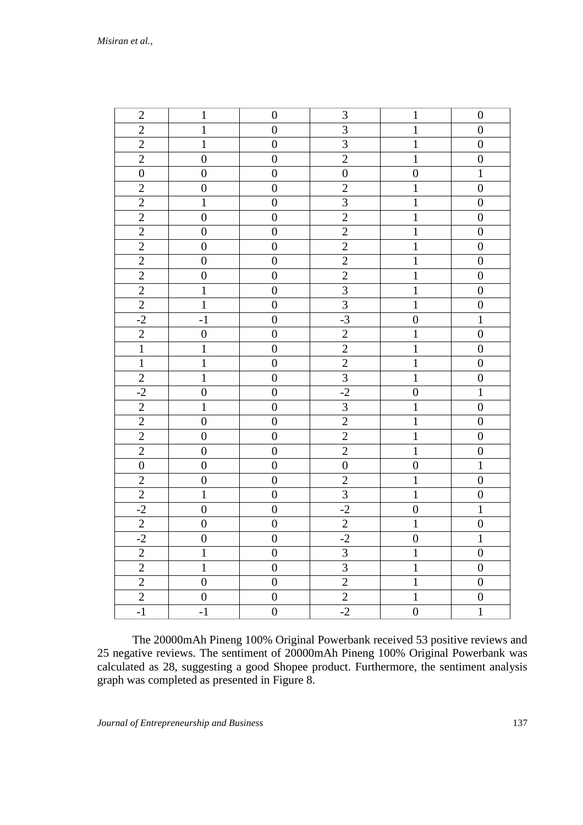*Misiran et al.,*

| $\overline{2}$   | $\mathbf{1}$     | $\boldsymbol{0}$ | 3                       | $\mathbf{1}$     | $\boldsymbol{0}$ |
|------------------|------------------|------------------|-------------------------|------------------|------------------|
| $\sqrt{2}$       | $\,1$            | $\boldsymbol{0}$ | 3                       | $\mathbf 1$      | $\boldsymbol{0}$ |
| $\sqrt{2}$       | $\mathbf{1}$     | $\boldsymbol{0}$ | 3                       | $\mathbf{1}$     | $\boldsymbol{0}$ |
| $\overline{c}$   | $\boldsymbol{0}$ | $\boldsymbol{0}$ | $\overline{c}$          | $\mathbf 1$      | $\boldsymbol{0}$ |
| $\boldsymbol{0}$ | $\boldsymbol{0}$ | $\boldsymbol{0}$ | $\boldsymbol{0}$        | $\boldsymbol{0}$ | $\mathbf{1}$     |
| $\overline{c}$   | $\boldsymbol{0}$ | $\boldsymbol{0}$ | $\overline{c}$          | $\mathbf 1$      | $\boldsymbol{0}$ |
| $\overline{2}$   | $\mathbf 1$      | $\boldsymbol{0}$ | $\overline{3}$          | $\mathbf 1$      | $\boldsymbol{0}$ |
| $\overline{2}$   | $\overline{0}$   | $\overline{0}$   | $\overline{2}$          | $\mathbf{1}$     | $\boldsymbol{0}$ |
| $\overline{2}$   | $\boldsymbol{0}$ | $\boldsymbol{0}$ | $\overline{2}$          | $\mathbf{1}$     | $\boldsymbol{0}$ |
| $\overline{c}$   | $\boldsymbol{0}$ | $\boldsymbol{0}$ | $\overline{c}$          | $\mathbf 1$      | $\boldsymbol{0}$ |
| $\overline{2}$   | $\boldsymbol{0}$ | $\boldsymbol{0}$ | $\sqrt{2}$              | $\mathbf{1}$     | $\boldsymbol{0}$ |
| $\overline{c}$   | $\boldsymbol{0}$ | $\boldsymbol{0}$ | $\overline{2}$          | $\mathbf 1$      | $\boldsymbol{0}$ |
| $\overline{2}$   | $\mathbf{1}$     | $\boldsymbol{0}$ | $\overline{3}$          | $\mathbf{1}$     | $\boldsymbol{0}$ |
| $\overline{2}$   | $\mathbf 1$      | $\boldsymbol{0}$ | $\overline{\mathbf{3}}$ | $\mathbf{1}$     | $\boldsymbol{0}$ |
| $-2$             | $-1$             | $\boldsymbol{0}$ | $-3$                    | $\boldsymbol{0}$ | $\mathbf{1}$     |
| $\overline{2}$   | $\boldsymbol{0}$ | $\boldsymbol{0}$ | $\overline{2}$          | $\mathbf{1}$     | $\boldsymbol{0}$ |
| $\mathbf 1$      | $\,1$            | $\boldsymbol{0}$ | $\sqrt{2}$              | $\mathbf{1}$     | $\boldsymbol{0}$ |
| $\,1\,$          | $\mathbf 1$      | $\boldsymbol{0}$ | $\overline{c}$          | $\mathbf 1$      | $\boldsymbol{0}$ |
| $\sqrt{2}$       | $\,1$            | $\boldsymbol{0}$ | $\overline{\mathbf{3}}$ | $\mathbf{1}$     | $\boldsymbol{0}$ |
| $-2$             | $\boldsymbol{0}$ | $\boldsymbol{0}$ | $-2$                    | $\boldsymbol{0}$ | $\mathbf{1}$     |
| $\overline{c}$   | $\mathbf{1}$     | $\boldsymbol{0}$ | $\overline{3}$          | $\mathbf{1}$     | $\boldsymbol{0}$ |
| $\overline{c}$   | $\boldsymbol{0}$ | $\boldsymbol{0}$ | $\overline{c}$          | $\mathbf 1$      | $\boldsymbol{0}$ |
| $\overline{2}$   | $\boldsymbol{0}$ | $\boldsymbol{0}$ | $\overline{2}$          | $\mathbf{1}$     | $\boldsymbol{0}$ |
| $\overline{2}$   | $\boldsymbol{0}$ | $\boldsymbol{0}$ | $\overline{c}$          | $\mathbf{1}$     | $\boldsymbol{0}$ |
| $\boldsymbol{0}$ | $\boldsymbol{0}$ | $\boldsymbol{0}$ | $\boldsymbol{0}$        | $\boldsymbol{0}$ | $\mathbf{1}$     |
| $\overline{c}$   | $\boldsymbol{0}$ | $\boldsymbol{0}$ | $\overline{c}$          | $\mathbf{1}$     | $\boldsymbol{0}$ |
| $\sqrt{2}$       | $\mathbf{1}$     | $\boldsymbol{0}$ | $\overline{\mathbf{3}}$ | $\mathbf{1}$     | $\boldsymbol{0}$ |
| $-2$             | $\boldsymbol{0}$ | $\boldsymbol{0}$ | $-2$                    | $\boldsymbol{0}$ | $\mathbf{1}$     |
| $\overline{2}$   | $\boldsymbol{0}$ | $\boldsymbol{0}$ | $\overline{2}$          | $\mathbf{1}$     | $\boldsymbol{0}$ |
| $-2$             | $\overline{0}$   | $\boldsymbol{0}$ | $-2$                    | $\boldsymbol{0}$ | $\mathbf{1}$     |
| $\sqrt{2}$       | $\mathbf{1}$     | $\boldsymbol{0}$ | 3                       | $\mathbf{1}$     | $\boldsymbol{0}$ |
| $\overline{2}$   | $\mathbf{1}$     | $\boldsymbol{0}$ | $\overline{3}$          | $\mathbf{1}$     | $\boldsymbol{0}$ |
| $\sqrt{2}$       | $\boldsymbol{0}$ | $\boldsymbol{0}$ | $\overline{2}$          | $\mathbf 1$      | $\boldsymbol{0}$ |
| $\overline{2}$   | $\boldsymbol{0}$ | $\boldsymbol{0}$ | $\overline{2}$          | $\mathbf{1}$     | $\boldsymbol{0}$ |
| $^{\rm -1}$      | $-1$             | $\boldsymbol{0}$ | $-2$                    | $\boldsymbol{0}$ | $\mathbf{1}$     |

The 20000mAh Pineng 100% Original Powerbank received 53 positive reviews and 25 negative reviews. The sentiment of 20000mAh Pineng 100% Original Powerbank was calculated as 28, suggesting a good Shopee product. Furthermore, the sentiment analysis graph was completed as presented in Figure 8.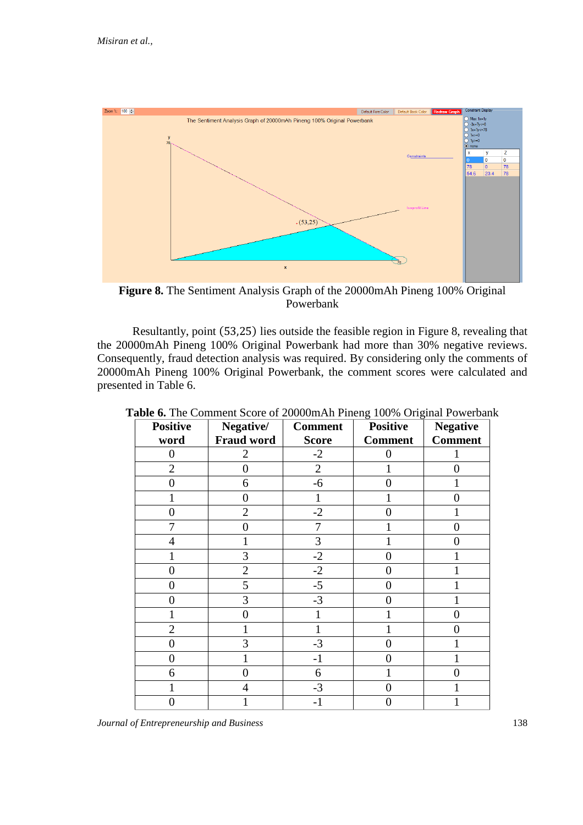

**Figure 8.** The Sentiment Analysis Graph of the 20000mAh Pineng 100% Original Powerbank

Resultantly, point (53,25) lies outside the feasible region in Figure 8, revealing that the 20000mAh Pineng 100% Original Powerbank had more than 30% negative reviews. Consequently, fraud detection analysis was required. By considering only the comments of 20000mAh Pineng 100% Original Powerbank, the comment scores were calculated and presented in Table 6.

| <b>Positive</b><br>word | Negative/<br><b>Fraud word</b> | <b>Comment</b><br><b>Score</b> | $\circ$<br>$\circ$<br><b>Positive</b><br><b>Comment</b> | <b>Negative</b><br><b>Comment</b> |
|-------------------------|--------------------------------|--------------------------------|---------------------------------------------------------|-----------------------------------|
| $\boldsymbol{0}$        | 2                              | $-2$                           | 0                                                       |                                   |
| $\overline{2}$          | $\overline{0}$                 | $\overline{2}$                 |                                                         | 0                                 |
| 0                       | 6                              | -6                             | 0                                                       |                                   |
|                         | 0                              |                                |                                                         | 0                                 |
| 0                       | $\overline{2}$                 | $-2$                           |                                                         |                                   |
| 7                       | $\theta$                       | 7                              |                                                         | 0                                 |
| 4                       |                                | 3                              |                                                         | 0                                 |
|                         | 3                              | $-2$                           | 0                                                       |                                   |
| 0                       | $\overline{2}$                 | $-2$                           | 0                                                       |                                   |
| 0                       | 5                              | $-5$                           | 0                                                       |                                   |
| 0                       | 3                              | $-3$                           | 0                                                       |                                   |
|                         | 0                              |                                |                                                         | 0                                 |
| $\overline{2}$          |                                |                                |                                                         | $\theta$                          |
| $\overline{0}$          | 3                              | $-3$                           | 0                                                       |                                   |
| 0                       |                                | $-1$                           | 1                                                       |                                   |
| 6                       | 0                              | 6                              |                                                         | 0                                 |
|                         | 4                              | $-3$                           | 0                                                       |                                   |
| 0                       |                                | -1                             | I I                                                     |                                   |

**Table 6.** The Comment Score of 20000mAh Pineng 100% Original Powerbank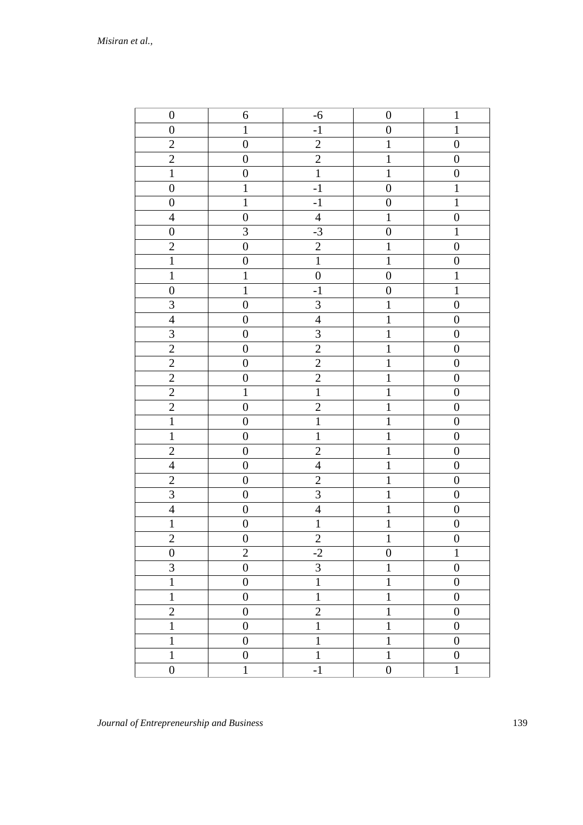| $\boldsymbol{0}$ | $\boldsymbol{6}$ | $-6$                    | $\boldsymbol{0}$ | $\mathbf{1}$     |
|------------------|------------------|-------------------------|------------------|------------------|
| $\boldsymbol{0}$ | $\mathbf{1}$     | $-1$                    | $\boldsymbol{0}$ | $\mathbf 1$      |
| $\mathbf{2}$     | $\boldsymbol{0}$ | $\sqrt{2}$              | $\mathbf{1}$     | $\boldsymbol{0}$ |
| $\overline{c}$   | $\boldsymbol{0}$ | $\overline{2}$          | $\,1\,$          | $\boldsymbol{0}$ |
| $\,1\,$          | $\boldsymbol{0}$ | $\overline{1}$          | $\mathbf 1$      | $\boldsymbol{0}$ |
| $\boldsymbol{0}$ | $\,1\,$          | $-1$                    | $\boldsymbol{0}$ | $\,1$            |
| $\boldsymbol{0}$ | $\mathbf{1}$     | $-1$                    | $\boldsymbol{0}$ | $\mathbf{1}$     |
| $\overline{4}$   | $\boldsymbol{0}$ | $\overline{4}$          | $\overline{1}$   | $\overline{0}$   |
| $\boldsymbol{0}$ | $\mathfrak{Z}$   | $-3$                    | $\boldsymbol{0}$ | $\,1\,$          |
| $\sqrt{2}$       | $\boldsymbol{0}$ | $\overline{2}$          | $\,1\,$          | $\boldsymbol{0}$ |
| $\,1$            | $\boldsymbol{0}$ | $\overline{1}$          | $\mathbf 1$      | $\boldsymbol{0}$ |
| $\,1\,$          | $\mathbf 1$      | $\boldsymbol{0}$        | $\boldsymbol{0}$ | $\mathbf 1$      |
| $\boldsymbol{0}$ | $\mathbf 1$      | $^{\rm -1}$             | $\boldsymbol{0}$ | $\mathbf 1$      |
| $\mathfrak{Z}$   | $\boldsymbol{0}$ | $\overline{\mathbf{3}}$ | $\,1\,$          | $\boldsymbol{0}$ |
| $\overline{4}$   | $\boldsymbol{0}$ | $\overline{4}$          | $\mathbf{1}$     | $\boldsymbol{0}$ |
| $\overline{3}$   | $\boldsymbol{0}$ | $\overline{3}$          | $\mathbf 1$      | $\boldsymbol{0}$ |
| $\overline{2}$   | $\boldsymbol{0}$ | $\overline{c}$          | $\,1\,$          | $\boldsymbol{0}$ |
| $\overline{c}$   | $\boldsymbol{0}$ | $\overline{2}$          | $\mathbf 1$      | $\boldsymbol{0}$ |
| $\overline{2}$   | $\boldsymbol{0}$ | $\overline{2}$          | $\mathbf 1$      | $\boldsymbol{0}$ |
| $\overline{2}$   | $\mathbf{1}$     | $\overline{1}$          | $\mathbf 1$      | $\boldsymbol{0}$ |
| $\overline{2}$   | $\boldsymbol{0}$ | $\overline{2}$          | $\,1\,$          | $\boldsymbol{0}$ |
| $\,1$            | $\boldsymbol{0}$ | $\mathbf 1$             | $\,1\,$          | $\boldsymbol{0}$ |
| $\mathbf{1}$     | $\boldsymbol{0}$ | $\mathbf{1}$            | $\mathbf{1}$     | $\boldsymbol{0}$ |
| $\overline{2}$   | $\boldsymbol{0}$ | $\overline{2}$          | $\mathbf 1$      | $\boldsymbol{0}$ |
| $\overline{4}$   | $\boldsymbol{0}$ | $\overline{4}$          | $\mathbf 1$      | $\boldsymbol{0}$ |
| $\overline{2}$   | $\boldsymbol{0}$ | $\overline{2}$          | $\mathbf 1$      | $\boldsymbol{0}$ |
| $\mathfrak{Z}$   | $\boldsymbol{0}$ | $\overline{3}$          | $\mathbf 1$      | $\boldsymbol{0}$ |
| $\overline{4}$   | $\boldsymbol{0}$ | $\overline{4}$          | $\mathbf{1}$     | $\boldsymbol{0}$ |
| $\mathbf{1}$     | $\boldsymbol{0}$ | $\overline{1}$          | $\mathbf 1$      | $\boldsymbol{0}$ |
| $\overline{2}$   | $\boldsymbol{0}$ | $\overline{2}$          | $\mathbf 1$      | $\boldsymbol{0}$ |
| $\boldsymbol{0}$ | $\mathbf{2}$     | $-2$                    | $\boldsymbol{0}$ | $\mathbf{1}$     |
| 3                | $\overline{0}$   | $\overline{3}$          | 1                | $\boldsymbol{0}$ |
| $\mathbf{1}$     | $\boldsymbol{0}$ | $\mathbf 1$             | $\mathbf{1}$     | $\boldsymbol{0}$ |
| $\mathbf{1}$     | $\boldsymbol{0}$ | $\mathbf{1}$            | $\mathbf{1}$     | $\boldsymbol{0}$ |
| $\overline{c}$   | $\boldsymbol{0}$ | $\overline{c}$          | $\,1$            | $\boldsymbol{0}$ |
| $\mathbf{1}$     | $\boldsymbol{0}$ | $\mathbf{1}$            | $\mathbf{1}$     | $\boldsymbol{0}$ |
| $\mathbf{1}$     | $\boldsymbol{0}$ | $\mathbf{1}$            | $\,1$            | $\boldsymbol{0}$ |
| $\mathbf{1}$     | $\boldsymbol{0}$ | $\mathbf{1}$            | $\mathbf 1$      | $\boldsymbol{0}$ |
| $\boldsymbol{0}$ | $\mathbf{1}$     | $^{\rm -1}$             | $\boldsymbol{0}$ | $\mathbf{1}$     |
|                  |                  |                         |                  |                  |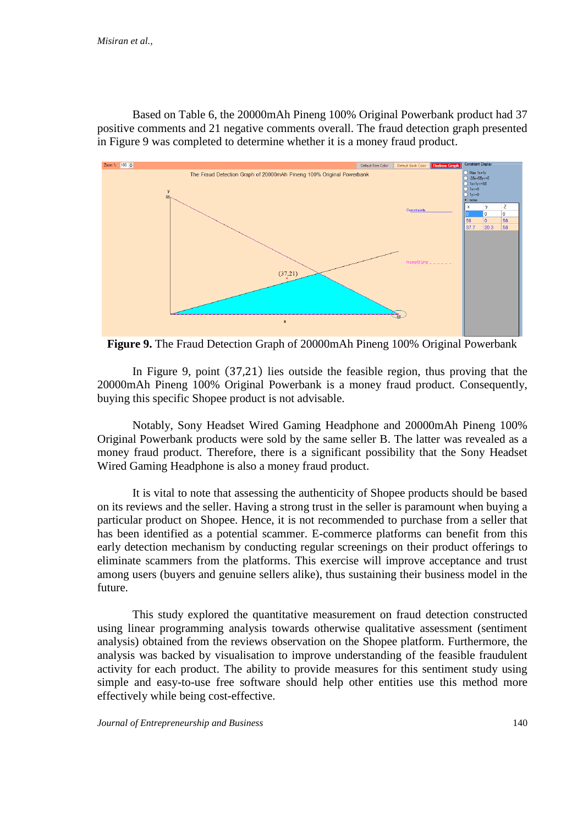Based on Table 6, the 20000mAh Pineng 100% Original Powerbank product had 37 positive comments and 21 negative comments overall. The fraud detection graph presented in Figure 9 was completed to determine whether it is a money fraud product.



**Figure 9.** The Fraud Detection Graph of 20000mAh Pineng 100% Original Powerbank

In Figure 9, point (37,21) lies outside the feasible region, thus proving that the 20000mAh Pineng 100% Original Powerbank is a money fraud product. Consequently, buying this specific Shopee product is not advisable.

Notably, Sony Headset Wired Gaming Headphone and 20000mAh Pineng 100% Original Powerbank products were sold by the same seller B. The latter was revealed as a money fraud product. Therefore, there is a significant possibility that the Sony Headset Wired Gaming Headphone is also a money fraud product.

It is vital to note that assessing the authenticity of Shopee products should be based on its reviews and the seller. Having a strong trust in the seller is paramount when buying a particular product on Shopee. Hence, it is not recommended to purchase from a seller that has been identified as a potential scammer. E-commerce platforms can benefit from this early detection mechanism by conducting regular screenings on their product offerings to eliminate scammers from the platforms. This exercise will improve acceptance and trust among users (buyers and genuine sellers alike), thus sustaining their business model in the future.

This study explored the quantitative measurement on fraud detection constructed using linear programming analysis towards otherwise qualitative assessment (sentiment analysis) obtained from the reviews observation on the Shopee platform. Furthermore, the analysis was backed by visualisation to improve understanding of the feasible fraudulent activity for each product. The ability to provide measures for this sentiment study using simple and easy-to-use free software should help other entities use this method more effectively while being cost-effective.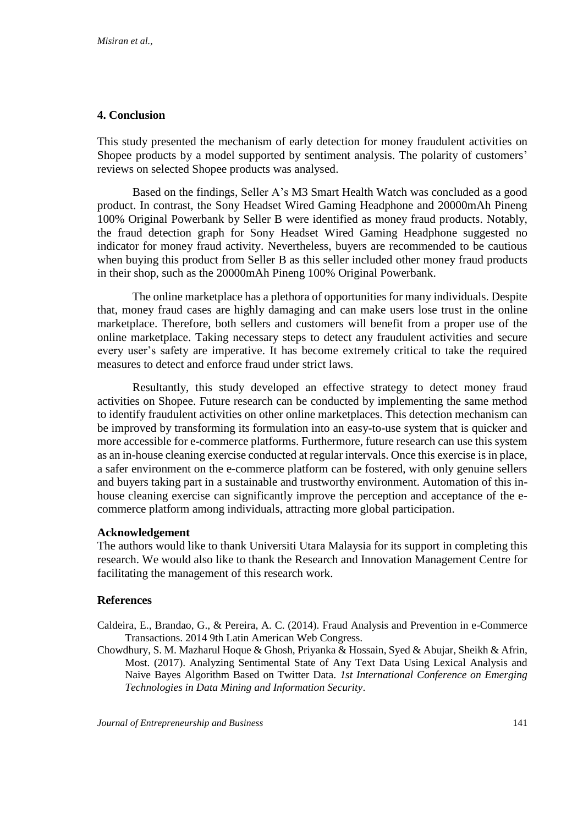# **4. Conclusion**

This study presented the mechanism of early detection for money fraudulent activities on Shopee products by a model supported by sentiment analysis. The polarity of customers' reviews on selected Shopee products was analysed.

Based on the findings, Seller A's M3 Smart Health Watch was concluded as a good product. In contrast, the Sony Headset Wired Gaming Headphone and 20000mAh Pineng 100% Original Powerbank by Seller B were identified as money fraud products. Notably, the fraud detection graph for Sony Headset Wired Gaming Headphone suggested no indicator for money fraud activity. Nevertheless, buyers are recommended to be cautious when buying this product from Seller B as this seller included other money fraud products in their shop, such as the 20000mAh Pineng 100% Original Powerbank.

The online marketplace has a plethora of opportunities for many individuals. Despite that, money fraud cases are highly damaging and can make users lose trust in the online marketplace. Therefore, both sellers and customers will benefit from a proper use of the online marketplace. Taking necessary steps to detect any fraudulent activities and secure every user's safety are imperative. It has become extremely critical to take the required measures to detect and enforce fraud under strict laws.

Resultantly, this study developed an effective strategy to detect money fraud activities on Shopee. Future research can be conducted by implementing the same method to identify fraudulent activities on other online marketplaces. This detection mechanism can be improved by transforming its formulation into an easy-to-use system that is quicker and more accessible for e-commerce platforms. Furthermore, future research can use this system as an in-house cleaning exercise conducted at regular intervals. Once this exercise is in place, a safer environment on the e-commerce platform can be fostered, with only genuine sellers and buyers taking part in a sustainable and trustworthy environment. Automation of this inhouse cleaning exercise can significantly improve the perception and acceptance of the ecommerce platform among individuals, attracting more global participation.

# **Acknowledgement**

The authors would like to thank Universiti Utara Malaysia for its support in completing this research. We would also like to thank the Research and Innovation Management Centre for facilitating the management of this research work.

# **References**

Caldeira, E., Brandao, G., & Pereira, A. C. (2014). Fraud Analysis and Prevention in e-Commerce Transactions. 2014 9th Latin American Web Congress.

Chowdhury, S. M. Mazharul Hoque & Ghosh, Priyanka & Hossain, Syed & Abujar, Sheikh & Afrin, Most. (2017). Analyzing Sentimental State of Any Text Data Using Lexical Analysis and Naive Bayes Algorithm Based on Twitter Data. *1st International Conference on Emerging Technologies in Data Mining and Information Security*.